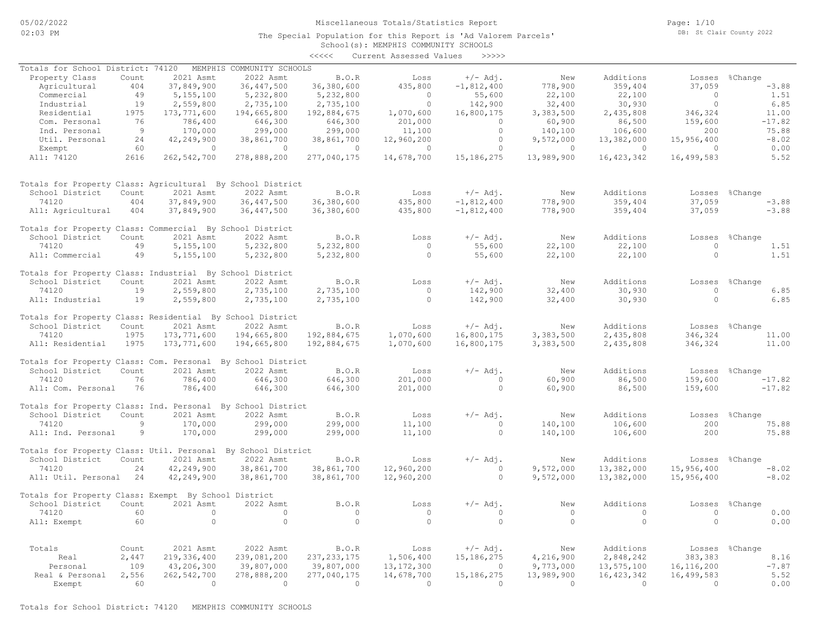### Miscellaneous Totals/Statistics Report

Page: 1/10 DB: St Clair County 2022

#### School(s): MEMPHIS COMMUNITY SCHOOLS The Special Population for this Report is 'Ad Valorem Parcels'

|                                                             |       |                          |                           | $\prec\prec\prec\prec\prec$ | Current Assessed Values  | >>>>>        |                        |                          |                          |                |
|-------------------------------------------------------------|-------|--------------------------|---------------------------|-----------------------------|--------------------------|--------------|------------------------|--------------------------|--------------------------|----------------|
| Totals for School District: 74120                           |       |                          | MEMPHIS COMMUNITY SCHOOLS |                             |                          |              |                        |                          |                          |                |
| Property Class                                              | Count | 2021 Asmt                | 2022 Asmt                 | B.O.R                       | Loss                     | $+/-$ Adj.   | New                    | Additions                |                          | Losses %Change |
| Agricultural                                                | 404   | 37,849,900               | 36, 447, 500              | 36,380,600                  | 435,800                  | $-1,812,400$ | 778,900                | 359,404                  | 37,059                   | $-3.88$        |
| Commercial                                                  | 49    | 5,155,100                | 5,232,800                 | 5,232,800                   | $\circ$                  | 55,600       | 22,100                 | 22,100                   | $\circ$                  | 1.51           |
| Industrial                                                  | 19    | 2,559,800                | 2,735,100                 | 2,735,100                   | $\Omega$                 | 142,900      | 32,400                 | 30,930                   | $\Omega$                 | 6.85           |
| Residential                                                 | 1975  | 173,771,600              | 194,665,800               | 192,884,675                 | 1,070,600                | 16,800,175   | 3,383,500              | 2,435,808                | 346,324                  | 11.00          |
| Com. Personal                                               | 76    | 786,400                  | 646,300                   | 646,300                     | 201,000                  | $\circ$      | 60,900                 | 86,500                   | 159,600                  | $-17.82$       |
| Ind. Personal                                               | -9    | 170,000                  | 299,000                   | 299,000                     | 11,100                   | $\circ$      | 140,100                | 106,600                  | 200                      | 75.88          |
| Util. Personal                                              | 24    | 42,249,900               |                           |                             |                          | $\Omega$     | 9,572,000              |                          |                          | $-8.02$        |
|                                                             |       |                          | 38,861,700                | 38,861,700                  | 12,960,200               |              |                        | 13,382,000               | 15,956,400               |                |
| Exempt                                                      | 60    | $\circ$                  | $\circ$                   | $\circ$                     | $\circ$                  | $\circ$      | $\circ$                | $\overline{0}$           | $\circ$                  | 0.00           |
| All: 74120                                                  | 2616  | 262,542,700              | 278,888,200               | 277,040,175                 | 14,678,700               | 15, 186, 275 | 13,989,900             | 16, 423, 342             | 16,499,583               | 5.52           |
| Totals for Property Class: Agricultural By School District  |       |                          |                           |                             |                          |              |                        |                          |                          |                |
| School District                                             | Count | 2021 Asmt                | 2022 Asmt                 | B.O.R                       | Loss                     | $+/-$ Adj.   | New                    | Additions                | Losses                   | %Change        |
| 74120                                                       | 404   | 37,849,900               | 36, 447, 500              | 36,380,600                  | 435,800                  | $-1,812,400$ | 778,900                | 359,404                  | 37,059                   | $-3.88$        |
| All: Agricultural                                           | 404   | 37,849,900               | 36, 447, 500              | 36,380,600                  | 435,800                  | $-1,812,400$ | 778,900                | 359,404                  | 37,059                   | $-3.88$        |
| Totals for Property Class: Commercial By School District    |       |                          |                           |                             |                          |              |                        |                          |                          |                |
| School District                                             | Count | 2021 Asmt                | 2022 Asmt                 | B.O.R                       | Loss                     | $+/-$ Adj.   | New                    | Additions                | Losses                   | %Change        |
| 74120                                                       | 49    | 5,155,100                | 5,232,800                 | 5,232,800                   | $\circ$                  | 55,600       | 22,100                 | 22,100                   | $\circ$                  | 1.51           |
| All: Commercial                                             | 49    | 5,155,100                | 5,232,800                 | 5,232,800                   | $\Omega$                 | 55,600       | 22,100                 | 22,100                   | $\Omega$                 | 1.51           |
| Totals for Property Class: Industrial By School District    |       |                          |                           |                             |                          |              |                        |                          |                          |                |
| School District                                             | Count | 2021 Asmt                | 2022 Asmt                 | B.O.R                       | Loss                     | $+/-$ Adj.   | New                    | Additions                | Losses                   | %Change        |
| 74120                                                       | 19    | 2,559,800                | 2,735,100                 | 2,735,100                   | $\Omega$                 | 142,900      | 32,400                 | 30,930                   | $\Omega$                 | 6.85           |
| All: Industrial                                             | 19    | 2,559,800                | 2,735,100                 | 2,735,100                   | $\Omega$                 | 142,900      | 32,400                 | 30,930                   | $\Omega$                 | 6.85           |
| Totals for Property Class: Residential By School District   |       |                          |                           |                             |                          |              |                        |                          |                          |                |
|                                                             | Count | 2021 Asmt                | 2022 Asmt                 | B.O.R                       |                          | $+/-$ Adj.   | New                    | Additions                |                          |                |
| School District                                             |       |                          |                           |                             | Loss                     |              |                        |                          | Losses                   | %Change        |
| 74120                                                       | 1975  | 173,771,600              | 194,665,800               | 192,884,675                 | 1,070,600                | 16,800,175   | 3,383,500              | 2,435,808                | 346,324                  | 11.00          |
| All: Residential                                            | 1975  | 173,771,600              | 194,665,800               | 192,884,675                 | 1,070,600                | 16,800,175   | 3,383,500              | 2,435,808                | 346,324                  | 11.00          |
| Totals for Property Class: Com. Personal By School District |       |                          |                           |                             |                          |              |                        |                          |                          |                |
| School District                                             | Count | 2021 Asmt                | 2022 Asmt                 | B.O.R                       | Loss                     | $+/-$ Adj.   | New                    | Additions                | Losses                   | %Change        |
| 74120                                                       | 76    | 786,400                  | 646,300                   | 646,300                     | 201,000                  | $\circ$      | 60,900                 | 86,500                   | 159,600                  | $-17.82$       |
| All: Com. Personal                                          | 76    | 786,400                  | 646,300                   | 646,300                     | 201,000                  | $\circ$      | 60,900                 | 86,500                   | 159,600                  | $-17.82$       |
| Totals for Property Class: Ind. Personal By School District |       |                          |                           |                             |                          |              |                        |                          |                          |                |
| School District                                             | Count | 2021 Asmt                | 2022 Asmt                 | B.O.R                       | Loss                     | $+/-$ Adj.   | New                    | Additions                | Losses                   | %Change        |
| 74120                                                       | 9     | 170,000                  | 299,000                   | 299,000                     | 11,100                   | $\circ$      | 140,100                | 106,600                  | 200                      | 75.88          |
| All: Ind. Personal                                          | 9     | 170,000                  | 299,000                   | 299,000                     | 11,100                   | $\circ$      | 140,100                | 106,600                  | 200                      | 75.88          |
| Totals for Property Class: Util. Personal                   |       |                          | By School District        |                             |                          |              |                        |                          |                          |                |
| School District                                             | Count | 2021 Asmt                | 2022 Asmt                 | B.O.R                       | Loss                     | $+/-$ Adj.   | New                    | Additions                |                          | Losses %Change |
| 74120                                                       | 24    |                          |                           |                             |                          | $\Omega$     |                        |                          |                          | $-8.02$        |
| All: Util. Personal 24                                      |       | 42,249,900<br>42,249,900 | 38,861,700<br>38,861,700  | 38,861,700<br>38,861,700    | 12,960,200<br>12,960,200 | $\circ$      | 9,572,000<br>9,572,000 | 13,382,000<br>13,382,000 | 15,956,400<br>15,956,400 | $-8.02$        |
|                                                             |       |                          |                           |                             |                          |              |                        |                          |                          |                |
| Totals for Property Class: Exempt By School District        |       |                          |                           |                             |                          |              |                        |                          |                          |                |
| School District                                             | Count | 2021 Asmt                | 2022 Asmt                 | B.O.R                       | Loss                     | $+/-$ Adj.   | New                    | Additions                | Losses                   | %Change        |
| 74120                                                       | 60    | $\circ$                  | $\circ$                   | $\circ$                     | $\circ$                  | $\circ$      | $\circ$                | $\circ$                  | $\circ$                  | 0.00           |
| All: Exempt                                                 | 60    | $\circ$                  | $\circ$                   | $\circ$                     | $\circ$                  | $\circ$      | $\circ$                | $\circ$                  | $\circ$                  | 0.00           |
|                                                             |       |                          |                           |                             |                          |              |                        |                          |                          |                |
| Totals                                                      | Count | 2021 Asmt                | 2022 Asmt                 | B.O.R                       | Loss                     | $+/-$ Adj.   | New                    | Additions                |                          | Losses %Change |
| Real                                                        | 2,447 | 219,336,400              | 239,081,200               | 237, 233, 175               | 1,506,400                | 15, 186, 275 | 4,216,900              | 2,848,242                | 383, 383                 | 8.16           |
| Personal                                                    | 109   | 43,206,300               | 39,807,000                | 39,807,000                  | 13, 172, 300             | $\circ$      | 9,773,000              | 13,575,100               | 16, 116, 200             | $-7.87$        |
| Real & Personal                                             | 2,556 | 262,542,700              | 278,888,200               | 277,040,175                 | 14,678,700               | 15, 186, 275 | 13,989,900             | 16, 423, 342             | 16,499,583               | 5.52           |
| Exempt                                                      | 60    | $\Omega$                 | $\Omega$                  | $\Omega$                    | $\Omega$                 | $\Omega$     | $\Omega$               | $\Omega$                 | $\Omega$                 | 0.00           |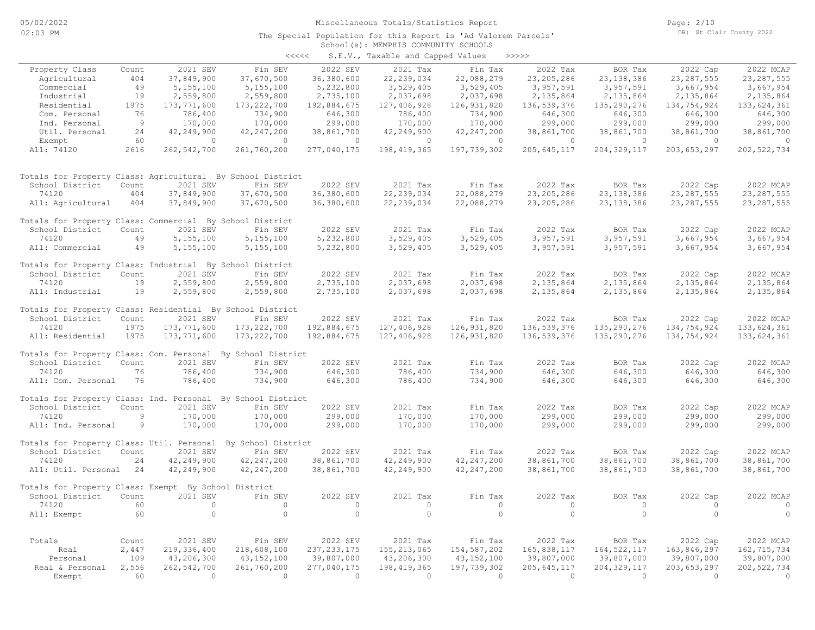#### School(s): MEMPHIS COMMUNITY SCHOOLS The Special Population for this Report is 'Ad Valorem Parcels'

| <<<< | S.E.V., Taxable and Capped Values |  | >>>>>> |
|------|-----------------------------------|--|--------|

|                                                             |              |                           |                             |                           | $5.2.7.7$ candidate and $54.7$ |                             |                             |                             |                           |                             |
|-------------------------------------------------------------|--------------|---------------------------|-----------------------------|---------------------------|--------------------------------|-----------------------------|-----------------------------|-----------------------------|---------------------------|-----------------------------|
| Property Class                                              | Count        | 2021 SEV                  | Fin SEV                     | 2022 SEV                  | 2021 Tax                       | Fin Tax                     | 2022 Tax                    | BOR Tax                     | 2022 Cap                  | 2022 MCAP                   |
| Agricultural                                                | 404          | 37,849,900                | 37,670,500                  | 36,380,600                | 22, 239, 034                   | 22,088,279                  | 23, 205, 286                | 23, 138, 386                | 23, 287, 555              | 23, 287, 555                |
| Commercial                                                  | 49           | 5, 155, 100               | 5,155,100                   | 5,232,800                 | 3,529,405                      | 3,529,405                   | 3,957,591                   | 3,957,591                   | 3,667,954                 | 3,667,954                   |
| Industrial                                                  | 19           | 2,559,800                 | 2,559,800                   | 2,735,100                 | 2,037,698                      | 2,037,698                   | 2,135,864                   | 2,135,864                   | 2,135,864                 | 2,135,864                   |
| Residential                                                 | 1975         | 173,771,600               | 173, 222, 700               | 192,884,675               | 127,406,928                    | 126, 931, 820               | 136,539,376                 | 135,290,276                 | 134,754,924               | 133,624,361                 |
| Com. Personal                                               | 76           | 786,400                   | 734,900                     | 646,300                   | 786,400                        | 734,900                     | 646,300                     | 646,300                     | 646,300                   | 646,300                     |
| Ind. Personal                                               | 9            | 170,000                   | 170,000                     | 299,000                   | 170,000                        | 170,000                     | 299,000                     | 299,000                     | 299,000                   | 299,000                     |
| Util. Personal                                              | 24           | 42,249,900                | 42, 247, 200                | 38,861,700                | 42,249,900                     | 42, 247, 200                | 38,861,700                  | 38,861,700                  | 38,861,700                | 38,861,700                  |
| Exempt                                                      | 60           | $\circ$                   | $\circ$                     | $\circ$                   | $\overline{0}$                 | $\circ$                     | $\circ$                     | $\circ$                     | $\circ$                   | $\Omega$                    |
| All: 74120                                                  | 2616         | 262,542,700               | 261,760,200                 | 277,040,175               | 198, 419, 365                  | 197,739,302                 | 205, 645, 117               | 204, 329, 117               | 203,653,297               | 202, 522, 734               |
| Totals for Property Class: Agricultural By School District  |              |                           |                             |                           |                                |                             |                             |                             |                           |                             |
| School District                                             | Count        | 2021 SEV                  | Fin SEV                     | 2022 SEV                  | 2021 Tax                       | Fin Tax                     | 2022 Tax                    | BOR Tax                     | 2022 Cap                  | 2022 MCAP                   |
| 74120                                                       | 404          | 37,849,900                | 37,670,500                  | 36,380,600                | 22, 239, 034                   | 22,088,279                  | 23, 205, 286                | 23, 138, 386                | 23, 287, 555              | 23, 287, 555                |
| All: Agricultural                                           | 404          | 37,849,900                | 37,670,500                  | 36,380,600                | 22, 239, 034                   | 22,088,279                  | 23, 205, 286                | 23, 138, 386                | 23, 287, 555              | 23, 287, 555                |
| Totals for Property Class: Commercial By School District    |              |                           |                             |                           |                                |                             |                             |                             |                           |                             |
| School District                                             | Count        | 2021 SEV                  | Fin SEV                     | 2022 SEV                  | 2021 Tax                       | Fin Tax                     | 2022 Tax                    | BOR Tax                     | 2022 Cap                  | 2022 MCAP                   |
| 74120                                                       | 49           | 5,155,100                 | 5,155,100                   | 5,232,800                 | 3,529,405                      | 3,529,405                   | 3,957,591                   | 3,957,591                   | 3,667,954                 | 3,667,954                   |
| All: Commercial                                             | 49           | 5, 155, 100               | 5, 155, 100                 | 5,232,800                 | 3,529,405                      | 3,529,405                   | 3,957,591                   | 3,957,591                   | 3,667,954                 | 3,667,954                   |
| Totals for Property Class: Industrial By School District    |              |                           |                             |                           |                                |                             |                             |                             |                           |                             |
| School District                                             | Count        | 2021 SEV                  | Fin SEV                     | 2022 SEV                  | 2021 Tax                       | Fin Tax                     | 2022 Tax                    | BOR Tax                     | 2022 Cap                  | 2022 MCAP                   |
| 74120                                                       | 19           | 2,559,800                 | 2,559,800                   | 2,735,100                 | 2,037,698                      | 2,037,698                   | 2,135,864                   | 2,135,864                   | 2,135,864                 | 2,135,864                   |
| All: Industrial                                             | 19           | 2,559,800                 | 2,559,800                   | 2,735,100                 | 2,037,698                      | 2,037,698                   | 2,135,864                   | 2,135,864                   | 2,135,864                 | 2,135,864                   |
| Totals for Property Class: Residential By School District   |              |                           |                             |                           |                                |                             |                             |                             |                           |                             |
| School District                                             | Count        | 2021 SEV                  | Fin SEV                     | 2022 SEV                  | 2021 Tax                       | Fin Tax                     | 2022 Tax                    | BOR Tax                     | 2022 Cap                  | 2022 MCAP                   |
| 74120                                                       | 1975         | 173,771,600               | 173, 222, 700               | 192,884,675               | 127,406,928                    | 126, 931, 820               | 136, 539, 376               | 135, 290, 276               | 134,754,924               | 133,624,361                 |
| All: Residential                                            | 1975         | 173,771,600               | 173, 222, 700               | 192,884,675               | 127,406,928                    | 126,931,820                 | 136, 539, 376               | 135,290,276                 | 134,754,924               | 133,624,361                 |
| Totals for Property Class: Com. Personal By School District |              |                           |                             |                           |                                |                             |                             |                             |                           |                             |
| School District                                             | Count        | 2021 SEV                  | Fin SEV                     | 2022 SEV                  | 2021 Tax                       | Fin Tax                     | 2022 Tax                    | BOR Tax                     | 2022 Cap                  | 2022 MCAP                   |
| 74120                                                       | 76           | 786,400                   | 734,900                     | 646,300                   | 786,400                        | 734,900                     | 646,300                     | 646,300                     | 646,300                   | 646,300                     |
| All: Com. Personal                                          | 76           | 786,400                   | 734,900                     | 646,300                   | 786,400                        | 734,900                     | 646,300                     | 646,300                     | 646,300                   | 646,300                     |
| Totals for Property Class: Ind. Personal By School District |              |                           |                             |                           |                                |                             |                             |                             |                           |                             |
| School District                                             | Count        | 2021 SEV                  | Fin SEV                     | 2022 SEV                  | 2021 Tax                       | Fin Tax                     | 2022 Tax                    | BOR Tax                     | 2022 Cap                  | 2022 MCAP                   |
| 74120                                                       | 9            | 170,000                   | 170,000                     | 299,000                   | 170,000                        | 170,000                     | 299,000                     | 299,000                     | 299,000                   | 299,000                     |
| All: Ind. Personal                                          | 9            | 170,000                   | 170,000                     | 299,000                   | 170,000                        | 170,000                     | 299,000                     | 299,000                     | 299,000                   | 299,000                     |
| Totals for Property Class: Util. Personal                   |              |                           | By School District          |                           |                                |                             |                             |                             |                           |                             |
| School District                                             | Count        | 2021 SEV                  | Fin SEV                     | 2022 SEV                  | 2021 Tax                       | Fin Tax                     | 2022 Tax                    | BOR Tax                     | 2022 Cap                  | 2022 MCAP                   |
| 74120                                                       | 24           | 42,249,900                | 42, 247, 200                | 38,861,700                | 42,249,900                     | 42, 247, 200                | 38,861,700                  | 38,861,700                  | 38,861,700                | 38,861,700                  |
| All: Util. Personal 24                                      |              | 42,249,900                | 42, 247, 200                | 38,861,700                | 42,249,900                     | 42, 247, 200                | 38,861,700                  | 38,861,700                  | 38,861,700                | 38,861,700                  |
| Totals for Property Class: Exempt By School District        |              |                           |                             |                           |                                |                             |                             |                             |                           |                             |
| School District                                             | Count        | 2021 SEV                  | Fin SEV                     | 2022 SEV                  | 2021 Tax                       | Fin Tax                     | 2022 Tax                    | BOR Tax                     | 2022 Cap                  | 2022 MCAP                   |
| 74120                                                       | 60           | $\circ$                   | $\Omega$                    | $\circ$                   | $\circ$                        | $\circ$                     | $\circ$                     | $\circ$                     | $\Omega$                  | $\Omega$                    |
| All: Exempt                                                 | 60           | $\circ$                   | $\circ$                     | $\circ$                   | $\circ$                        | $\circ$                     | $\circ$                     | $\circ$                     | $\circ$                   | $\circ$                     |
|                                                             |              |                           |                             |                           |                                |                             |                             |                             |                           |                             |
| Totals                                                      | Count        | 2021 SEV                  | Fin SEV                     | 2022 SEV                  | 2021 Tax                       | Fin Tax                     | 2022 Tax                    | BOR Tax                     | 2022 Cap                  | 2022 MCAP                   |
| Real                                                        | 2,447<br>109 | 219,336,400               | 218,608,100                 | 237, 233, 175             | 155, 213, 065                  | 154,587,202<br>43, 152, 100 | 165,838,117                 | 164, 522, 117               | 163,846,297               | 162, 715, 734               |
| Personal<br>Real & Personal                                 | 2,556        | 43,206,300<br>262,542,700 | 43, 152, 100<br>261,760,200 | 39,807,000<br>277,040,175 | 43,206,300<br>198,419,365      | 197,739,302                 | 39,807,000<br>205, 645, 117 | 39,807,000<br>204, 329, 117 | 39,807,000<br>203,653,297 | 39,807,000<br>202, 522, 734 |
| Exempt                                                      | 60           | $\overline{0}$            | $\overline{0}$              | $\circ$                   | $\overline{0}$                 | $\circ$                     | $\circ$                     | $\overline{0}$              | $\overline{0}$            | $\bigcap$                   |
|                                                             |              |                           |                             |                           |                                |                             |                             |                             |                           |                             |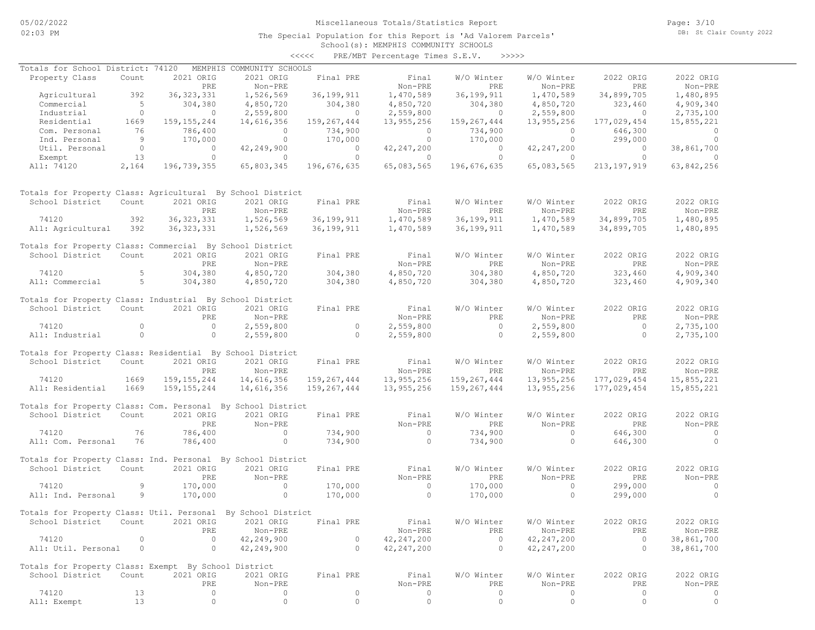## Miscellaneous Totals/Statistics Report

The Special Population for this Report is 'Ad Valorem Parcels'

Page: 3/10 DB: St Clair County 2022

#### School(s): MEMPHIS COMMUNITY SCHOOLS <<<<< PRE/MBT Percentage Times S.E.V. >>>>>

| Totals for School District: 74120                            |                |                | MEMPHIS COMMUNITY SCHOOLS |                |                |                |                |                |                |
|--------------------------------------------------------------|----------------|----------------|---------------------------|----------------|----------------|----------------|----------------|----------------|----------------|
| Property Class                                               | Count          | 2021 ORIG      | 2021 ORIG                 | Final PRE      | Final          | W/O Winter     | W/O Winter     | 2022 ORIG      | 2022 ORIG      |
|                                                              |                | PRE            | Non-PRE                   |                | Non-PRE        | <b>PRE</b>     | Non-PRE        | <b>PRE</b>     | Non-PRE        |
| Agricultural                                                 | 392            | 36, 323, 331   | 1,526,569                 | 36, 199, 911   | 1,470,589      | 36, 199, 911   | 1,470,589      | 34,899,705     | 1,480,895      |
| Commercial                                                   | $5^{\circ}$    | 304,380        | 4,850,720                 | 304,380        | 4,850,720      | 304,380        | 4,850,720      | 323,460        | 4,909,340      |
| Industrial                                                   | $\overline{0}$ | $\bigcirc$     | 2,559,800                 | $\bigcirc$     | 2,559,800      | $\overline{0}$ | 2,559,800      | $\bigcirc$     | 2,735,100      |
| Residential                                                  | 1669           | 159, 155, 244  | 14,616,356                | 159,267,444    | 13,955,256     | 159,267,444    | 13,955,256     | 177,029,454    | 15,855,221     |
| Com. Personal                                                | 76             | 786,400        | $\circ$                   | 734,900        | $\overline{0}$ | 734,900        | $\overline{0}$ | 646,300        | $\overline{0}$ |
| Ind. Personal                                                | 9              | 170,000        | $\overline{0}$            | 170,000        | $\overline{0}$ | 170,000        | $\overline{0}$ | 299,000        | $\overline{0}$ |
|                                                              | $\overline{0}$ | $\overline{0}$ | 42,249,900                | $\overline{0}$ | 42, 247, 200   | $\overline{0}$ | 42, 247, 200   | $\overline{0}$ | 38,861,700     |
| Util. Personal                                               |                | $\circ$        |                           | $\circ$        |                | $\circ$        |                | $\circ$        | $\overline{0}$ |
| Exempt                                                       | 13             |                | $\overline{0}$            |                | $\overline{0}$ |                | $\overline{0}$ |                |                |
| All: 74120                                                   | 2,164          | 196,739,355    | 65,803,345                | 196,676,635    | 65,083,565     | 196,676,635    | 65,083,565     | 213,197,919    | 63,842,256     |
| Totals for Property Class: Agricultural By School District   |                |                |                           |                |                |                |                |                |                |
| School District                                              | Count          | 2021 ORIG      | 2021 ORIG                 | Final PRE      | Final          | W/O Winter     | W/O Winter     | 2022 ORIG      | 2022 ORIG      |
|                                                              |                | PRE            | Non-PRE                   |                | Non-PRE        | PRE            | Non-PRE        | PRE            | Non-PRE        |
| 74120                                                        | 392            | 36, 323, 331   | 1,526,569                 | 36, 199, 911   | 1,470,589      | 36, 199, 911   | 1,470,589      | 34,899,705     | 1,480,895      |
| All: Agricultural                                            | 392            | 36, 323, 331   | 1,526,569                 | 36,199,911     | 1,470,589      | 36, 199, 911   | 1,470,589      | 34,899,705     | 1,480,895      |
| Totals for Property Class: Commercial By School District     |                |                |                           |                |                |                |                |                |                |
| School District                                              | Count          | 2021 ORIG      | 2021 ORIG                 | Final PRE      | Final          | W/O Winter     | W/O Winter     | 2022 ORIG      | 2022 ORIG      |
|                                                              |                | PRE            | Non-PRE                   |                | Non-PRE        | PRE            | Non-PRE        | PRE            | Non-PRE        |
| 74120                                                        | 5              | 304,380        | 4,850,720                 | 304,380        | 4,850,720      | 304,380        | 4,850,720      | 323,460        | 4,909,340      |
| All: Commercial                                              | $5^{\circ}$    | 304,380        | 4,850,720                 | 304,380        | 4,850,720      | 304,380        | 4,850,720      | 323,460        | 4,909,340      |
|                                                              |                |                |                           |                |                |                |                |                |                |
| Totals for Property Class: Industrial By School District     |                |                |                           |                |                |                |                |                |                |
| School District                                              | Count          | 2021 ORIG      | 2021 ORIG                 | Final PRE      | Final          | W/O Winter     | W/O Winter     | 2022 ORIG      | 2022 ORIG      |
|                                                              |                | PRE            | Non-PRE                   |                | Non-PRE        | PRE            | Non-PRE        | PRE            | Non-PRE        |
| 74120                                                        | $\circ$        | $\circ$        | 2,559,800                 | $\circ$        | 2,559,800      | $\overline{0}$ | 2,559,800      | $\overline{0}$ | 2,735,100      |
| All: Industrial                                              | $\circ$        | $\circ$        | 2,559,800                 | $\overline{0}$ | 2,559,800      | $\Omega$       | 2,559,800      | $\Omega$       | 2,735,100      |
|                                                              |                |                |                           |                |                |                |                |                |                |
| Totals for Property Class: Residential By School District    |                |                |                           |                |                |                |                |                |                |
| School District                                              | Count          | 2021 ORIG      | 2021 ORIG                 | Final PRE      | Final          | W/O Winter     | W/O Winter     | 2022 ORIG      | 2022 ORIG      |
|                                                              |                | PRE            | Non-PRE                   |                | Non-PRE        | PRE            | Non-PRE        | PRE            | Non-PRE        |
| 74120                                                        | 1669           | 159, 155, 244  | 14,616,356                | 159,267,444    | 13,955,256     | 159,267,444    | 13,955,256     | 177,029,454    | 15,855,221     |
| All: Residential                                             | 1669           | 159, 155, 244  | 14,616,356                | 159,267,444    | 13,955,256     | 159,267,444    | 13,955,256     | 177,029,454    | 15,855,221     |
|                                                              |                |                |                           |                |                |                |                |                |                |
| Totals for Property Class: Com. Personal By School District  |                |                |                           |                |                |                |                |                |                |
| School District                                              | Count          | 2021 ORIG      | 2021 ORIG                 | Final PRE      | Final          | W/O Winter     | W/O Winter     | 2022 ORIG      | 2022 ORIG      |
|                                                              |                | PRE            | Non-PRE                   |                | Non-PRE        | PRE            | Non-PRE        | PRE            | Non-PRE        |
| 74120                                                        | 76             | 786,400        | $\circ$                   | 734,900        | $\sim$ 0       | 734,900        | $\overline{0}$ | 646,300        | $\sim$ 0       |
| All: Com. Personal 76                                        |                | 786,400        | $\circ$                   | 734,900        | $\overline{0}$ | 734,900        | $\circ$        | 646,300        | $\overline{0}$ |
|                                                              |                |                |                           |                |                |                |                |                |                |
| Totals for Property Class: Ind. Personal By School District  |                |                |                           |                |                |                |                |                |                |
| School District                                              | Count          | 2021 ORIG      | 2021 ORIG                 | Final PRE      | Final          | W/O Winter     | W/O Winter     | 2022 ORIG      | 2022 ORIG      |
|                                                              |                | PRE            | Non-PRE                   |                | Non-PRE        | PRE            | Non-PRE        | PRE            | Non-PRE        |
| 74120                                                        | 9              | 170,000        | $\Omega$                  | 170,000        | $\overline{0}$ | 170,000        | $\Omega$       | 299,000        | $\circ$        |
| All: Ind. Personal                                           | 9              | 170,000        | $\circ$                   | 170,000        | $\overline{0}$ | 170,000        | $\circ$        | 299,000        | $\Omega$       |
|                                                              |                |                |                           |                |                |                |                |                |                |
| Totals for Property Class: Util. Personal By School District |                |                |                           |                |                |                |                |                |                |
| School District Count 2021 ORIG 2021 ORIG Final PRE          |                |                |                           |                | Final          | W/O Winter     | W/O Winter     | 2022 ORIG      | 2022 ORIG      |
|                                                              |                | PRE            | Non-PRE                   |                | Non-PRE        | PRE            | Non-PRE        | PRE            | Non-PRE        |
| 74120                                                        | 0              | $\circ$        | 42,249,900                | $\circ$        | 42, 247, 200   | $\circ$        | 42, 247, 200   | $\circ$        | 38,861,700     |
| All: Util. Personal                                          | $\circ$        | $\circ$        | 42,249,900                | $\circ$        | 42, 247, 200   | $\circ$        | 42, 247, 200   | $\circ$        | 38,861,700     |
|                                                              |                |                |                           |                |                |                |                |                |                |
| Totals for Property Class: Exempt By School District         |                |                |                           |                |                |                |                |                |                |
| School District                                              | Count          | 2021 ORIG      | 2021 ORIG                 | Final PRE      | Final          | W/O Winter     | W/O Winter     | 2022 ORIG      | 2022 ORIG      |
|                                                              |                | PRE            | Non-PRE                   |                | Non-PRE        | PRE            | Non-PRE        | PRE            | Non-PRE        |
| 74120                                                        | 13             | $\circ$        | 0                         | $\circ$        | 0              | $\circ$        | 0              | $\circ$        | 0              |
| All: Exempt                                                  | 13             | $\circ$        | $\circ$                   | $\circ$        | $\circ$        | $\circ$        | $\circ$        | $\circ$        | $\circ$        |
|                                                              |                |                |                           |                |                |                |                |                |                |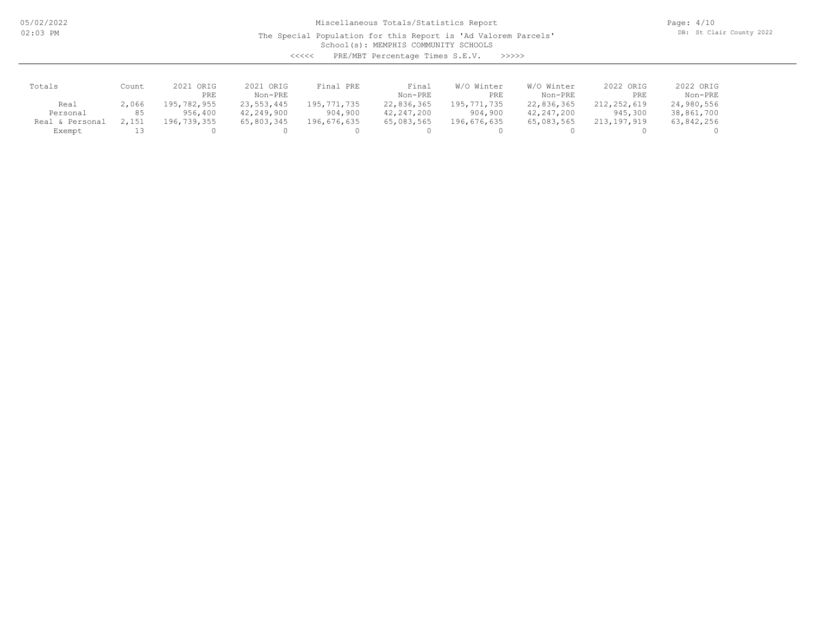05/02/2022 02:03 PM

Miscellaneous Totals/Statistics Report

The Special Population for this Report is 'Ad Valorem Parcels'

Page: 4/10 DB: St Clair County 2022

School(s): MEMPHIS COMMUNITY SCHOOLS

<<<<< PRE/MBT Percentage Times S.E.V. >>>>>

| Totals             | Count | 2021 ORIG   | 2021 ORIG  | Final PRE   | Final      | W/O Winter  | W/O Winter   | 2022 ORIG   | 2022 ORIG  |
|--------------------|-------|-------------|------------|-------------|------------|-------------|--------------|-------------|------------|
|                    |       | PRE         | Non-PRE    |             | Non-PRE    | PRE         | Non-PRE      | PRE         | Non-PRE    |
| Real               | 2,066 | 195,782,955 | 23,553,445 | 195,771,735 | 22,836,365 | 195,771,735 | 22,836,365   | 212,252,619 | 24,980,556 |
| Personal           | 85    | 956,400     | 42,249,900 | 904,900     | 42,247,200 | 904,900     | 42, 247, 200 | 945,300     | 38,861,700 |
| Personal<br>Real & | 2,151 | 196,739,355 | 65,803,345 | 196,676,635 | 65,083,565 | 196,676,635 | 65,083,565   | 213,197,919 | 63,842,256 |
| Exempt             |       |             |            |             |            |             |              |             |            |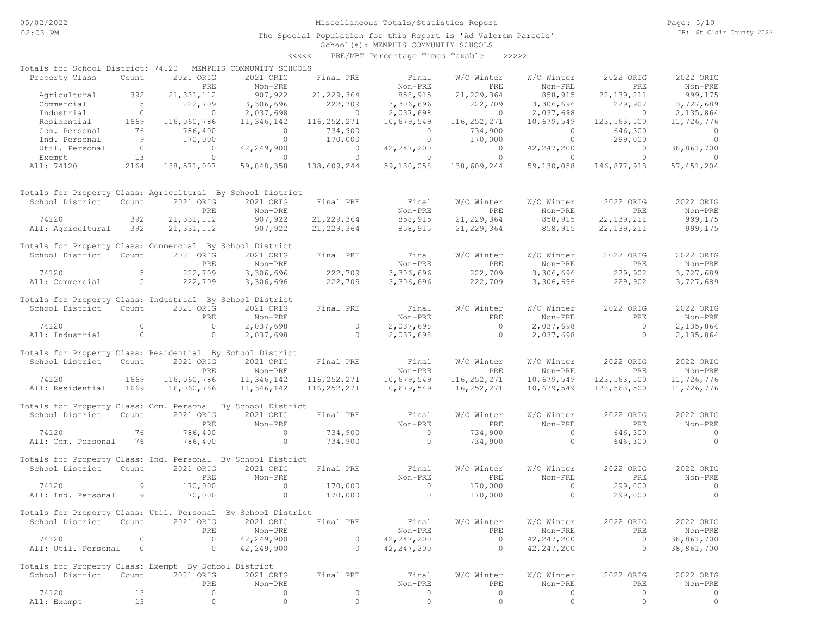# Miscellaneous Totals/Statistics Report

Page: 5/10 DB: St Clair County 2022

<<<<< PRE/MBT Percentage Times Taxable >>>>>

| Totals for School District: 74120                            |                |                                       | MEMPHIS COMMUNITY SCHOOLS            |                                       |                                      |                  |                   |                |                                                               |
|--------------------------------------------------------------|----------------|---------------------------------------|--------------------------------------|---------------------------------------|--------------------------------------|------------------|-------------------|----------------|---------------------------------------------------------------|
| Property Class                                               | Count          | 2021 ORIG                             | 2021 ORIG                            | Final PRE                             | <b>Example 1</b> Final               | W/O Winter       | W/O Winter        | 2022 ORIG      | 2022 ORIG                                                     |
|                                                              |                | PRE                                   | $Non-PRE$                            |                                       | Non-PRE                              | PRE              | Non-PRE           | PRE            | Non-PRE                                                       |
| Agricultural 392                                             |                | 21, 331, 112                          | 907,922                              | 21, 229, 364                          | 858,915                              | 21, 229, 364     | 858,915           | 22, 139, 211   | 999,175                                                       |
| Commercial                                                   | $\overline{5}$ | 222,709                               | 3,306,696                            | 222,709                               | 3,306,696                            | 222,709          | 3,306,696         | 229,902        | 3,727,689                                                     |
| Industrial                                                   | $\overline{0}$ | $\sim$ 0                              | 2,037,698                            |                                       | 2,037,698                            |                  | 2,037,698         |                | 2,135,864                                                     |
| Residential                                                  | 1669           | 116,060,786                           | 11,346,142                           | 116,252,271                           | 10,679,549                           | 116,252,271      | 10,679,549        | 123,563,500    | 11,726,776                                                    |
| Com. Personal                                                | 76             | 786,400                               | $\begin{matrix} 0 \\ 0 \end{matrix}$ | $734,900$<br>170,000                  | $\begin{matrix} 0 \\ 0 \end{matrix}$ | 734,900          | $\overline{0}$    | 646,300        | $\overline{0}$                                                |
| Ind. Personal                                                | $\overline{9}$ | 170,000                               |                                      |                                       |                                      | 170,000          | $\circ$           | 299,000        | $\sim$ 0                                                      |
| Util. Personal                                               | $\overline{0}$ | $\begin{array}{c} 0 \\ 0 \end{array}$ | 42,249,900                           | $\begin{array}{c} 0 \\ 0 \end{array}$ | 42, 247, 200                         | $\overline{a}$   | 42, 247, 200      | $\overline{a}$ | 38,861,700                                                    |
| Exempt                                                       | 13             | $\overline{0}$                        | $\sim$ 0 $\sim$ 0 $\sim$ 0 $\sim$    | $\overline{0}$                        | $\sim$ 0 $\sim$ 0 $\sim$             |                  |                   | $\overline{0}$ | $\sim$ 000 $\sim$ 000 $\sim$ 000 $\sim$ 000 $\sim$ 000 $\sim$ |
| All: 74120                                                   | 2164           | 138,571,007                           | 59,848,358                           | 138,609,244                           | 59,130,058                           | 138,609,244      | 59,130,058        | 146,877,913    | 57, 451, 204                                                  |
|                                                              |                |                                       |                                      |                                       |                                      |                  |                   |                |                                                               |
| Totals for Property Class: Agricultural By School District   |                |                                       |                                      |                                       |                                      |                  |                   |                |                                                               |
| School District                                              | Count          | 2021 ORIG                             | 2021 ORIG                            | Final PRE                             | Final                                | W/O Winter       | W/O Winter        | 2022 ORIG      | 2022 ORIG                                                     |
|                                                              |                | PRE                                   | Non-PRE                              |                                       | Non-PRE                              | PRE              | Non-PRE           | PRE            | Non-PRE                                                       |
| 74120                                                        | 392            | 21, 331, 112                          | 907,922                              | 21, 229, 364                          | 858,915                              | 21, 229, 364     | 858,915           | 22, 139, 211   | 999,175                                                       |
| All: Agricultural 392                                        |                | 21, 331, 112                          | 907, 922                             | 21,229,364                            | 858,915                              | 21, 229, 364     | 858,915           | 22, 139, 211   | 999,175                                                       |
|                                                              |                |                                       |                                      |                                       |                                      |                  |                   |                |                                                               |
| Totals for Property Class: Commercial By School District     |                |                                       |                                      |                                       |                                      |                  |                   |                |                                                               |
| School District Count                                        |                | 2021 ORIG                             | 2021 ORIG                            | Final PRE                             | Final                                | W/O Winter       | W/O Winter        | 2022 ORIG      | 2022 ORIG                                                     |
|                                                              |                | PRE                                   | Non-PRE                              |                                       | Non-PRE                              | PRE              | Non-PRE           | PRE            | Non-PRE                                                       |
| 74120                                                        | 5 <sub>5</sub> | 222,709                               | 3,306,696                            | 222,709                               | 3,306,696                            |                  | 222,709 3,306,696 | 229,902        | 3,727,689                                                     |
| All: Commercial 5                                            |                | 222,709                               | 3,306,696                            | 222,709                               | 3,306,696                            | 222,709          | 3,306,696         | 229,902        | 3,727,689                                                     |
|                                                              |                |                                       |                                      |                                       |                                      |                  |                   |                |                                                               |
| Totals for Property Class: Industrial By School District     |                |                                       |                                      |                                       |                                      |                  |                   |                |                                                               |
| School District                                              | Count          | 2021 ORIG                             | 2021 ORIG                            | Final PRE                             | Final                                | W/O Winter       | W/O Winter        | 2022 ORIG      | 2022 ORIG                                                     |
|                                                              |                | PRE                                   | Non-PRE                              |                                       | Non-PRE                              | <b>PRE</b>       | Non-PRE           | PRE            | Non-PRE                                                       |
| 74120                                                        | $\circ$        | $\overline{0}$                        | 2,037,698                            |                                       | 2,037,698                            | $\overline{0}$   | 2,037,698         | $\overline{0}$ | 2,135,864                                                     |
| All: Industrial                                              | $\overline{0}$ | $\overline{0}$                        | 2,037,698                            | $\begin{array}{c} 0 \\ 0 \end{array}$ | 2,037,698                            | $\overline{0}$   | 2,037,698         | $\overline{0}$ | 2,135,864                                                     |
|                                                              |                |                                       |                                      |                                       |                                      |                  |                   |                |                                                               |
| Totals for Property Class: Residential By School District    |                |                                       |                                      |                                       |                                      |                  |                   |                |                                                               |
| School District Count                                        |                | 2021 ORIG                             | 2021 ORIG                            | Final PRE                             | Final                                | W/O Winter       | W/O Winter        | 2022 ORIG      | 2022 ORIG                                                     |
|                                                              |                | PRE                                   | Non-PRE                              |                                       | Non-PRE                              | PRE              | Non-PRE           | PRE            | Non-PRE                                                       |
| 74120                                                        | 1669           | 116,060,786                           | 11,346,142                           | 116,252,271                           | 10,679,549                           | 116,252,271      | 10,679,549        | 123,563,500    | 11,726,776                                                    |
| All: Residential 1669                                        |                | 116,060,786                           | 11,346,142                           | 116,252,271                           | 10,679,549                           | 116,252,271      | 10,679,549        | 123,563,500    | 11,726,776                                                    |
|                                                              |                |                                       |                                      |                                       |                                      |                  |                   |                |                                                               |
| Totals for Property Class: Com. Personal By School District  |                |                                       |                                      |                                       |                                      |                  |                   |                |                                                               |
| School District Count                                        |                | 2021 ORIG                             | 2021 ORIG                            | Final PRE                             | Final                                | W/O Winter       | W/O Winter        | 2022 ORIG      | 2022 ORIG                                                     |
|                                                              |                | PRE                                   | Non-PRE                              |                                       | Non-PRE                              | PRE              | Non-PRE           | PRE            | Non-PRE                                                       |
| 74120<br>76                                                  |                | 786,400                               | $\overline{0}$                       | 734,900                               | $\overline{0}$                       | 734,900          | $\overline{0}$    | 646,300        | $\begin{array}{c} 0 \\ 0 \end{array}$                         |
| All: Com. Personal 76                                        |                | 786,400                               | $\overline{0}$                       | 734,900                               | $\overline{0}$                       | 734,900          | $\circ$           | 646,300        | $\overline{0}$                                                |
|                                                              |                |                                       |                                      |                                       |                                      |                  |                   |                |                                                               |
| Totals for Property Class: Ind. Personal By School District  |                |                                       |                                      |                                       |                                      |                  |                   |                |                                                               |
| School District                                              | Count          | 2021 ORIG                             | 2021 ORIG                            | Final PRE                             | Final                                | W/O Winter       | W/O Winter        | 2022 ORIG      | 2022 ORIG                                                     |
|                                                              |                | PRE                                   | Non-PRE                              |                                       | Non-PRE                              | PRE              | Non-PRE           | PRE            | Non-PRE                                                       |
| 74120                                                        | 9              | 170,000                               | $\sim$ 0                             |                                       |                                      | 170,000          | $\circ$           | 299,000        | $\sim$ 0                                                      |
| All: Ind. Personal                                           | 9 <sup>1</sup> | 170,000                               | $\circ$                              | 170,000<br>170,000                    | $\begin{matrix} 0 \\ 0 \end{matrix}$ | 170,000          | $\circ$           | 299,000        | $\Omega$                                                      |
|                                                              |                |                                       |                                      |                                       |                                      |                  |                   |                |                                                               |
| Totals for Property Class: Util. Personal By School District |                |                                       |                                      |                                       |                                      |                  |                   |                |                                                               |
| School District Count 2021 ORIG 2021 ORIG Final PRE          |                |                                       |                                      |                                       |                                      | Final W/O Winter | W/O Winter        | 2022 ORIG      | 2022 ORIG                                                     |
|                                                              |                | PRE                                   | Non-PRE                              |                                       | Non-PRE                              | PRE              | Non-PRE           | PRE            | Non-PRE                                                       |
|                                                              | $\circ$        |                                       |                                      |                                       |                                      | $\circ$          |                   | $\circ$        | 38,861,700                                                    |
| 74120                                                        |                | $\circ$                               | 42,249,900                           | 0                                     | 42, 247, 200                         |                  | 42, 247, 200      |                |                                                               |
| All: Util. Personal                                          | 0              | $\circ$                               | 42,249,900                           | $\circ$                               | 42, 247, 200                         | $\circ$          | 42, 247, 200      | $\circ$        | 38,861,700                                                    |
| Totals for Property Class: Exempt By School District         |                |                                       |                                      |                                       |                                      |                  |                   |                |                                                               |
| School District                                              | Count          | 2021 ORIG                             | 2021 ORIG                            | Final PRE                             | Final                                | W/O Winter       | W/O Winter        | 2022 ORIG      | 2022 ORIG                                                     |
|                                                              |                |                                       |                                      |                                       | Non-PRE                              |                  |                   |                |                                                               |
|                                                              |                | PRE                                   | Non-PRE                              |                                       |                                      | PRE              | Non-PRE           | PRE            | Non-PRE                                                       |
| 74120                                                        | 13             | 0                                     | 0                                    | $\circ$                               | 0                                    | $\mathbf{0}$     | 0                 | $\circ$        | 0                                                             |
| All: Exempt                                                  | 13             | $\circ$                               | $\circ$                              | $\circ$                               | $\circ$                              | $\circ$          | $\circ$           | $\circ$        | $\circ$                                                       |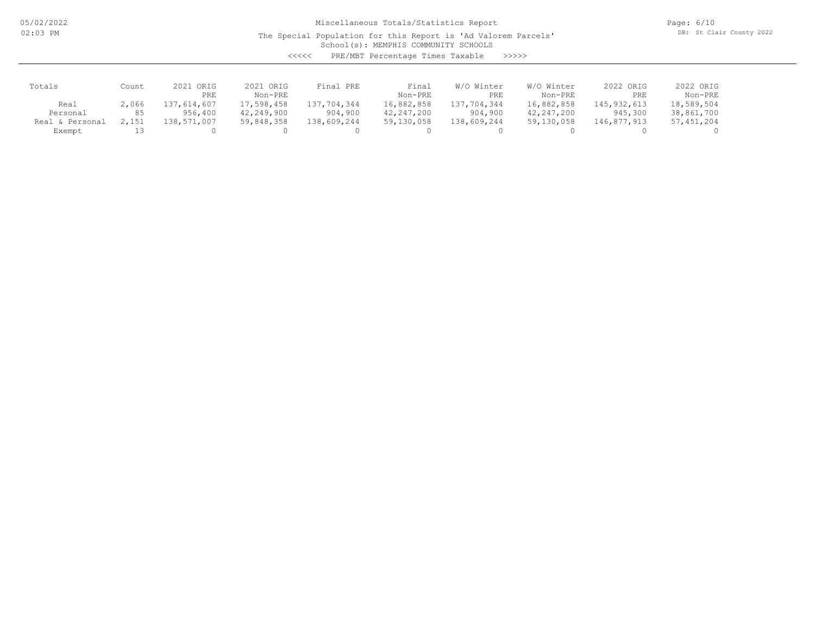05/02/2022 02:03 PM

# Miscellaneous Totals/Statistics Report

The Special Population for this Report is 'Ad Valorem Parcels'

Page: 6/10 DB: St Clair County 2022

School(s): MEMPHIS COMMUNITY SCHOOLS

| くくくくく | PRE/MBT Percentage Times Taxable |  |  | >>>>> |
|-------|----------------------------------|--|--|-------|
|-------|----------------------------------|--|--|-------|

| Totals             | Count | 2021 ORIG   | 2021 ORIG  | Final PRE   | Final      | W/O Winter  | W/O Winter   | 2022 ORIG   | 2022 ORIG  |
|--------------------|-------|-------------|------------|-------------|------------|-------------|--------------|-------------|------------|
|                    |       | PRE         | Non-PRE    |             | Non-PRE    | PRE         | Non-PRE      | PRE         | Non-PRE    |
| Real               | 2,066 | 137,614,607 | 17,598,458 | 137,704,344 | 16,882,858 | 137,704,344 | 16,882,858   | 145,932,613 | 18,589,504 |
| Personal           | 85    | 956,400     | 42,249,900 | 904,900     | 42,247,200 | 904,900     | 42, 247, 200 | 945,300     | 38,861,700 |
| Personal<br>Real & | 2,151 | 138,571,007 | 59,848,358 | 138,609,244 | 59,130,058 | 138,609,244 | 59,130,058   | 146,877,913 | 57,451,204 |
| Exempt             |       |             |            |             |            |             |              |             |            |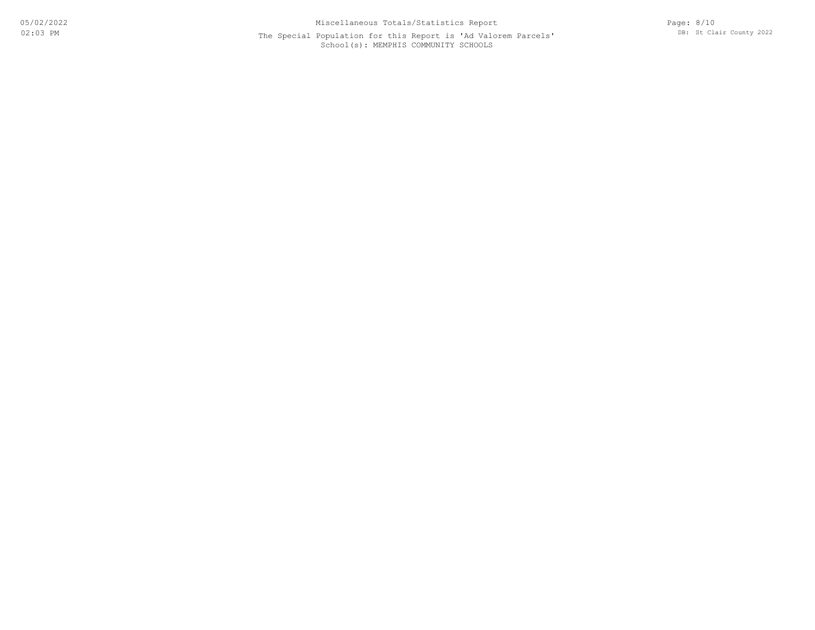#### School(s): MEMPHIS COMMUNITY SCHOOLS The Special Population for this Report is 'Ad Valorem Parcels'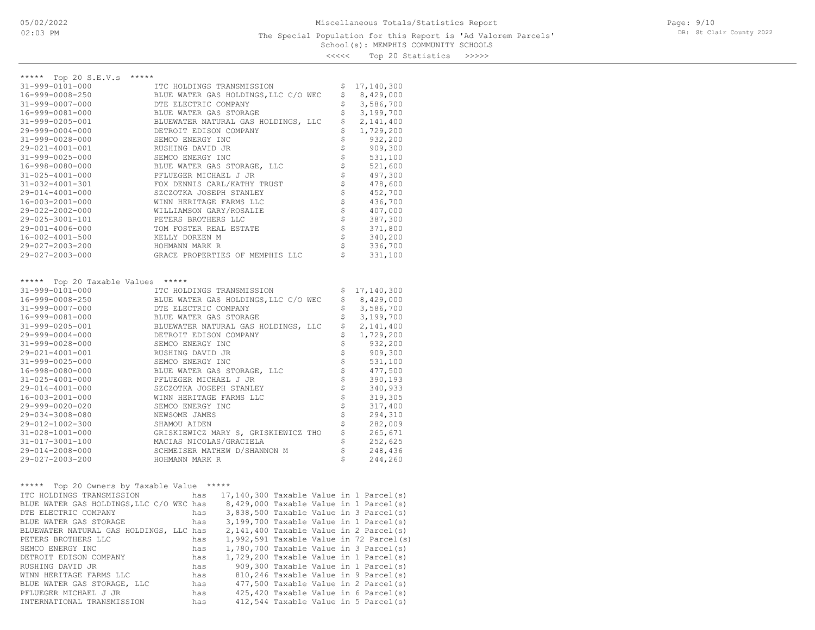<<<<< Top 20 Statistics >>>>>

| ***** Top 20 S.E.V.s *****                                                                                                                                                                                                                 |                  |                         |                                                                                                                                                                                                                                                |  |  |                                                     |                                                                                                                                  |
|--------------------------------------------------------------------------------------------------------------------------------------------------------------------------------------------------------------------------------------------|------------------|-------------------------|------------------------------------------------------------------------------------------------------------------------------------------------------------------------------------------------------------------------------------------------|--|--|-----------------------------------------------------|----------------------------------------------------------------------------------------------------------------------------------|
| 31-999-0101-000                                                                                                                                                                                                                            |                  |                         |                                                                                                                                                                                                                                                |  |  |                                                     | \$17,140,300                                                                                                                     |
| 16-999-0008-250                                                                                                                                                                                                                            |                  |                         | ITC HOLDINGS TRANSMISSION<br>BLUE WATER GAS HOLDINGS,LLC<br>BLUE WATER GAS HOLDINGS, LLC C/O WEC                                                                                                                                               |  |  | \$                                                  | 8,429,000                                                                                                                        |
| 31-999-0007-000                                                                                                                                                                                                                            |                  |                         | DTE ELECTRIC COMPANY                                                                                                                                                                                                                           |  |  | \$                                                  | 3,586,700                                                                                                                        |
| 16-999-0081-000                                                                                                                                                                                                                            |                  |                         | BLUE WATER GAS STORAGE                                                                                                                                                                                                                         |  |  | \$                                                  | 3,199,700                                                                                                                        |
| 31-999-0205-001                                                                                                                                                                                                                            |                  |                         | BLUEWATER NATURAL GAS HOLDINGS, LLC                                                                                                                                                                                                            |  |  | \$                                                  | 2,141,400                                                                                                                        |
| 29-999-0004-000                                                                                                                                                                                                                            |                  |                         | DETROIT EDISON COMPANY                                                                                                                                                                                                                         |  |  | \$                                                  | 1,729,200                                                                                                                        |
| 31-999-0028-000                                                                                                                                                                                                                            | SEMCO ENERGY INC |                         |                                                                                                                                                                                                                                                |  |  | \$                                                  | 932,200                                                                                                                          |
| 29-021-4001-001                                                                                                                                                                                                                            | RUSHING DAVID JR |                         |                                                                                                                                                                                                                                                |  |  | \$                                                  | 909,300                                                                                                                          |
| 31-999-0025-000                                                                                                                                                                                                                            | SEMCO ENERGY INC |                         |                                                                                                                                                                                                                                                |  |  | \$                                                  | 531,100                                                                                                                          |
| 16-998-0080-000                                                                                                                                                                                                                            |                  |                         | BLUE WATER GAS STORAGE, LLC                                                                                                                                                                                                                    |  |  | \$                                                  | 521,600                                                                                                                          |
| 31-025-4001-000                                                                                                                                                                                                                            |                  |                         | PFLUEGER MICHAEL J JR                                                                                                                                                                                                                          |  |  | \$                                                  | 497,300                                                                                                                          |
| 31-032-4001-301                                                                                                                                                                                                                            |                  |                         | FOX DENNIS CARL/KATHY TRUST                                                                                                                                                                                                                    |  |  | \$                                                  | 478,600                                                                                                                          |
| 29-014-4001-000                                                                                                                                                                                                                            |                  |                         | SZCZOTKA JOSEPH STANLEY                                                                                                                                                                                                                        |  |  | $\boldsymbol{\dot{\varsigma}}$                      | 452,700                                                                                                                          |
| 16-003-2001-000                                                                                                                                                                                                                            |                  |                         | WINN HERITAGE FARMS LLC                                                                                                                                                                                                                        |  |  | $\hat{\varsigma}$                                   | 436,700                                                                                                                          |
| 29-022-2002-000                                                                                                                                                                                                                            |                  |                         | WILLIAMSON GARY/ROSALIE                                                                                                                                                                                                                        |  |  |                                                     | 407,000                                                                                                                          |
| 29-025-3001-101                                                                                                                                                                                                                            |                  |                         | PETERS BROTHERS LLC                                                                                                                                                                                                                            |  |  | $\frac{1}{2}$                                       | 387,300                                                                                                                          |
| 29-001-4006-000                                                                                                                                                                                                                            |                  |                         | TOM FOSTER REAL ESTATE                                                                                                                                                                                                                         |  |  | $\hat{\varsigma}$                                   | 371,800                                                                                                                          |
| 16-002-4001-500                                                                                                                                                                                                                            | KELLY DOREEN M   |                         |                                                                                                                                                                                                                                                |  |  | $\ddot{\varsigma}$                                  | 340,200                                                                                                                          |
| 29-027-2003-200                                                                                                                                                                                                                            | HOHMANN MARK R   |                         |                                                                                                                                                                                                                                                |  |  | \$                                                  | 336,700                                                                                                                          |
| 29-027-2003-000                                                                                                                                                                                                                            |                  |                         | GRACE PROPERTIES OF MEMPHIS LLC                                                                                                                                                                                                                |  |  | \$                                                  | 331,100                                                                                                                          |
|                                                                                                                                                                                                                                            |                  |                         |                                                                                                                                                                                                                                                |  |  |                                                     |                                                                                                                                  |
|                                                                                                                                                                                                                                            |                  |                         |                                                                                                                                                                                                                                                |  |  |                                                     |                                                                                                                                  |
| ***** Top 20 Taxable Values *****                                                                                                                                                                                                          |                  |                         |                                                                                                                                                                                                                                                |  |  |                                                     |                                                                                                                                  |
| 31-999-0101-000                                                                                                                                                                                                                            |                  |                         |                                                                                                                                                                                                                                                |  |  | Ş                                                   | 17,140,300                                                                                                                       |
| 16-999-0008-250                                                                                                                                                                                                                            |                  |                         |                                                                                                                                                                                                                                                |  |  | \$                                                  | 8,429,000                                                                                                                        |
| 31-999-0007-000                                                                                                                                                                                                                            |                  |                         |                                                                                                                                                                                                                                                |  |  | \$                                                  | 3,586,700                                                                                                                        |
| 16-999-0081-000                                                                                                                                                                                                                            |                  |                         |                                                                                                                                                                                                                                                |  |  | \$<br>\$                                            | 3,199,700                                                                                                                        |
| 31-999-0205-001<br>29-999-0004-000                                                                                                                                                                                                         |                  |                         | BLUEWATER NATURAL GAS HOLDINGS, LLC<br>DETROIT EDISON COMPANY                                                                                                                                                                                  |  |  | \$                                                  | 2,141,400<br>1,729,200                                                                                                           |
| 31-999-0028-000                                                                                                                                                                                                                            |                  |                         | ITC HOLDINGS TRANSMISSION<br>ITC HOLDINGS TRANSMISSION<br>BLUE WATER GAS HOLDINGS, LLC C/O WEC<br>DTE ELECTRIC COMPANY<br>BLUE WATER GAS STORAGE<br>BLUEWATER NATURAL GAS HOLDINGS, LLC<br>DETROIT EDISON COMPANY<br>SEMCO ENERGY INC<br>RIISH |  |  | \$                                                  | 932,200                                                                                                                          |
| 29-021-4001-001                                                                                                                                                                                                                            | RUSHING DAVID JR |                         |                                                                                                                                                                                                                                                |  |  | \$                                                  | 909,300                                                                                                                          |
| 31-999-0025-000                                                                                                                                                                                                                            |                  |                         |                                                                                                                                                                                                                                                |  |  |                                                     | 531,100                                                                                                                          |
| 16-998-0080-000                                                                                                                                                                                                                            |                  |                         | SEMCO ENERGI INC<br>BLUE WATER GAS STORAGE, LLC<br>PFLUEGER MICHAEL J JR                                                                                                                                                                       |  |  | \$                                                  | 477,500                                                                                                                          |
| 31-025-4001-000                                                                                                                                                                                                                            |                  |                         |                                                                                                                                                                                                                                                |  |  | $\ddot{\varsigma}$                                  | 390,193                                                                                                                          |
| 29-014-4001-000                                                                                                                                                                                                                            |                  |                         | SZCZOTKA JOSEPH STANLEY                                                                                                                                                                                                                        |  |  | $\dot{\varsigma}$                                   | 340,933                                                                                                                          |
| 16-003-2001-000                                                                                                                                                                                                                            |                  | WINN HERITAGE FARMS LLC |                                                                                                                                                                                                                                                |  |  |                                                     | 319,305                                                                                                                          |
| 29-999-0020-020                                                                                                                                                                                                                            | SEMCO ENERGY INC |                         |                                                                                                                                                                                                                                                |  |  | $\boldsymbol{\dot{\varsigma}}$<br>$\dot{\varsigma}$ | 317,400                                                                                                                          |
| 29-034-3008-080                                                                                                                                                                                                                            | NEWSOME JAMES    |                         |                                                                                                                                                                                                                                                |  |  | \$                                                  | 294,310                                                                                                                          |
| 29-012-1002-300                                                                                                                                                                                                                            | SHAMOU AIDEN     |                         |                                                                                                                                                                                                                                                |  |  | $\boldsymbol{\dot{\varsigma}}$                      | 282,009                                                                                                                          |
| 31-028-1001-000                                                                                                                                                                                                                            |                  |                         |                                                                                                                                                                                                                                                |  |  | \$                                                  | 265,671                                                                                                                          |
| 31-017-3001-100                                                                                                                                                                                                                            |                  |                         | GRISKIEWICZ MARY S, GRISKIEWICZ THO<br>MACIAS NICOLAS/GRACIELA                                                                                                                                                                                 |  |  | \$                                                  | 252,625                                                                                                                          |
| 29-014-2008-000                                                                                                                                                                                                                            |                  |                         | SCHMEISER MATHEW D/SHANNON M                                                                                                                                                                                                                   |  |  | \$                                                  | 248,436                                                                                                                          |
| 29-027-2003-200                                                                                                                                                                                                                            | HOHMANN MARK R   |                         |                                                                                                                                                                                                                                                |  |  | \$                                                  | 244,260                                                                                                                          |
|                                                                                                                                                                                                                                            |                  |                         |                                                                                                                                                                                                                                                |  |  |                                                     |                                                                                                                                  |
| ***** Top 20 Owners by Taxable Value *****                                                                                                                                                                                                 |                  |                         |                                                                                                                                                                                                                                                |  |  |                                                     |                                                                                                                                  |
| ITC HOLDINGS TRANSMISSION has 17,140,300 Taxable Value in 1 Parcel(s)                                                                                                                                                                      |                  |                         |                                                                                                                                                                                                                                                |  |  |                                                     |                                                                                                                                  |
|                                                                                                                                                                                                                                            |                  |                         |                                                                                                                                                                                                                                                |  |  |                                                     |                                                                                                                                  |
|                                                                                                                                                                                                                                            |                  |                         |                                                                                                                                                                                                                                                |  |  |                                                     |                                                                                                                                  |
|                                                                                                                                                                                                                                            |                  |                         |                                                                                                                                                                                                                                                |  |  |                                                     |                                                                                                                                  |
|                                                                                                                                                                                                                                            |                  |                         |                                                                                                                                                                                                                                                |  |  |                                                     |                                                                                                                                  |
|                                                                                                                                                                                                                                            |                  |                         |                                                                                                                                                                                                                                                |  |  |                                                     | 1,992,591 Taxable Value in 72 Parcel(s)                                                                                          |
| THE MATER GAS HOLDINGS, LLC C/O WEC has<br>$8,429,000$ Taxable Value in 1 Farcel(s)<br>DTE ELECTRIC COMPANY has<br>$3,838,500$ Taxable Value in 3 Parcel(s)<br>DTE ELECTRIC COMPANY has<br>$3,199,700$ Taxable Value in 1 Parcel(s)<br>BLU |                  |                         |                                                                                                                                                                                                                                                |  |  |                                                     |                                                                                                                                  |
|                                                                                                                                                                                                                                            |                  |                         |                                                                                                                                                                                                                                                |  |  |                                                     |                                                                                                                                  |
|                                                                                                                                                                                                                                            |                  |                         |                                                                                                                                                                                                                                                |  |  |                                                     |                                                                                                                                  |
| WINN HERITAGE FARMS LLC                                                                                                                                                                                                                    |                  |                         |                                                                                                                                                                                                                                                |  |  |                                                     |                                                                                                                                  |
| BLUE WATER GAS STORAGE, LLC                                                                                                                                                                                                                |                  |                         |                                                                                                                                                                                                                                                |  |  |                                                     | has 810,246 Taxable Value in 9 Parcel(s)<br>has 477,500 Taxable Value in 2 Parcel(s)<br>has 425,420 Taxable Value in 6 Parcel(s) |
| PFLUEGER MICHAEL J JR                                                                                                                                                                                                                      |                  |                         |                                                                                                                                                                                                                                                |  |  |                                                     |                                                                                                                                  |
| INTERNATIONAL TRANSMISSION                                                                                                                                                                                                                 |                  | has                     |                                                                                                                                                                                                                                                |  |  |                                                     | 412,544 Taxable Value in 5 Parcel(s)                                                                                             |